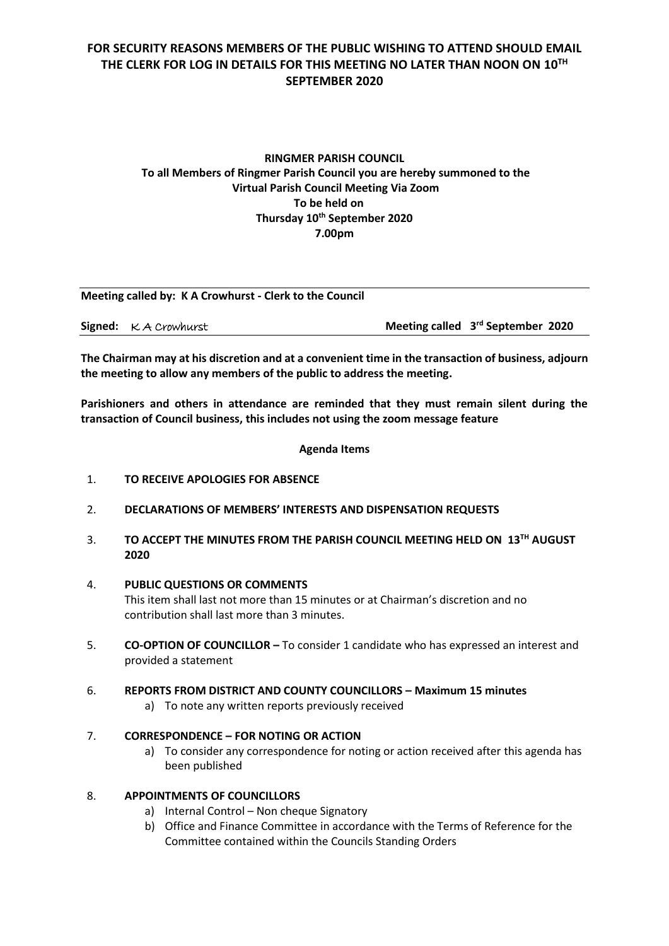## **RINGMER PARISH COUNCIL To all Members of Ringmer Parish Council you are hereby summoned to the Virtual Parish Council Meeting Via Zoom To be held on Thursday 10 th September 2020 7.00pm**

| Meeting called by: K A Crowhurst - Clerk to the Council |                                   |  |
|---------------------------------------------------------|-----------------------------------|--|
| <b>Signed:</b> $K$ A Crowhurst                          | Meeting called 3rd September 2020 |  |

**The Chairman may at his discretion and at a convenient time in the transaction of business, adjourn the meeting to allow any members of the public to address the meeting.**

**Parishioners and others in attendance are reminded that they must remain silent during the transaction of Council business, this includes not using the zoom message feature**

**Agenda Items**

- 1. **TO RECEIVE APOLOGIES FOR ABSENCE**
- 2. **DECLARATIONS OF MEMBERS' INTERESTS AND DISPENSATION REQUESTS**
- 3. **TO ACCEPT THE MINUTES FROM THE PARISH COUNCIL MEETING HELD ON 13TH AUGUST 2020**
- 4. **PUBLIC QUESTIONS OR COMMENTS**  This item shall last not more than 15 minutes or at Chairman's discretion and no contribution shall last more than 3 minutes.
- 5. **CO-OPTION OF COUNCILLOR –** To consider 1 candidate who has expressed an interest and provided a statement
- 6. **REPORTS FROM DISTRICT AND COUNTY COUNCILLORS – Maximum 15 minutes**
	- a) To note any written reports previously received

## 7. **CORRESPONDENCE – FOR NOTING OR ACTION**

a) To consider any correspondence for noting or action received after this agenda has been published

### 8. **APPOINTMENTS OF COUNCILLORS**

- a) Internal Control Non cheque Signatory
- b) Office and Finance Committee in accordance with the Terms of Reference for the Committee contained within the Councils Standing Orders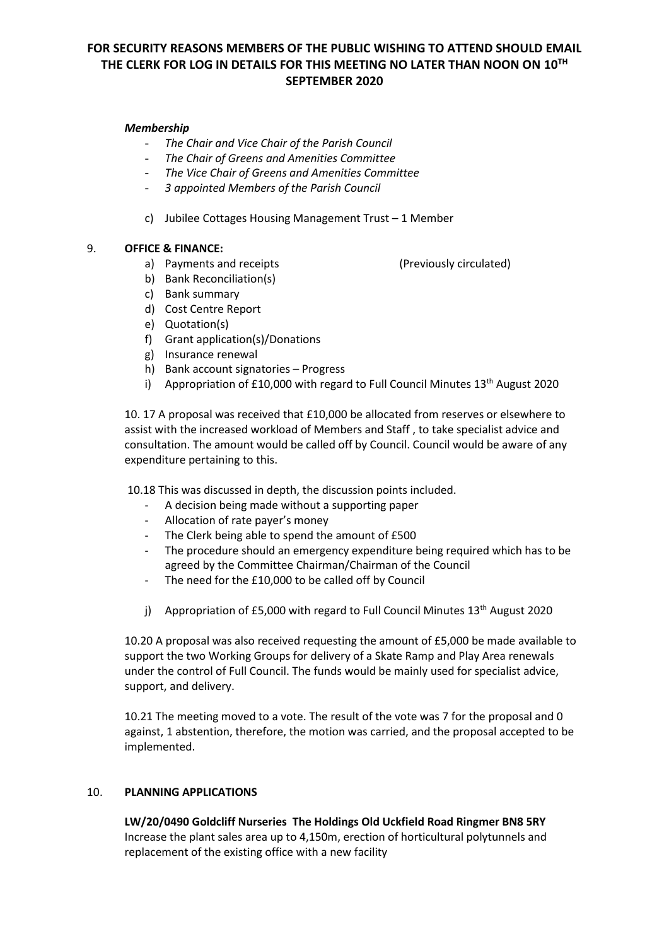### *Membership*

- *The Chair and Vice Chair of the Parish Council*
- *The Chair of Greens and Amenities Committee*
- *The Vice Chair of Greens and Amenities Committee*
- *3 appointed Members of the Parish Council*
- c) Jubilee Cottages Housing Management Trust 1 Member

### 9. **OFFICE & FINANCE:**

- a) Payments and receipts (Previously circulated)
- b) Bank Reconciliation(s)
- c) Bank summary
- d) Cost Centre Report
- e) Quotation(s)
- f) Grant application(s)/Donations
- g) Insurance renewal
- h) Bank account signatories Progress
- i) Appropriation of £10,000 with regard to Full Council Minutes  $13<sup>th</sup>$  August 2020

10. 17 A proposal was received that £10,000 be allocated from reserves or elsewhere to assist with the increased workload of Members and Staff , to take specialist advice and consultation. The amount would be called off by Council. Council would be aware of any expenditure pertaining to this.

10.18 This was discussed in depth, the discussion points included.

- A decision being made without a supporting paper
- Allocation of rate payer's money
- The Clerk being able to spend the amount of £500
- The procedure should an emergency expenditure being required which has to be agreed by the Committee Chairman/Chairman of the Council
- The need for the £10,000 to be called off by Council
- j) Appropriation of £5,000 with regard to Full Council Minutes  $13<sup>th</sup>$  August 2020

10.20 A proposal was also received requesting the amount of £5,000 be made available to support the two Working Groups for delivery of a Skate Ramp and Play Area renewals under the control of Full Council. The funds would be mainly used for specialist advice, support, and delivery.

10.21 The meeting moved to a vote. The result of the vote was 7 for the proposal and 0 against, 1 abstention, therefore, the motion was carried, and the proposal accepted to be implemented.

#### 10. **PLANNING APPLICATIONS**

**LW/20/0490 Goldcliff Nurseries The Holdings Old Uckfield Road Ringmer BN8 5RY** Increase the plant sales area up to 4,150m, erection of horticultural polytunnels and replacement of the existing office with a new facility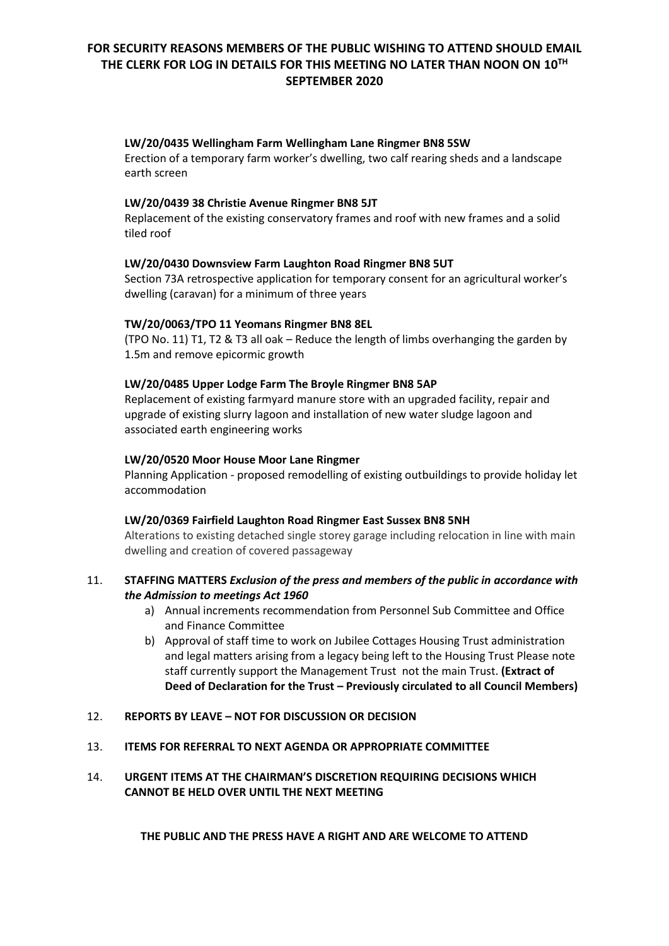#### **LW/20/0435 Wellingham Farm Wellingham Lane Ringmer BN8 5SW**

Erection of a temporary farm worker's dwelling, two calf rearing sheds and a landscape earth screen

### **LW/20/0439 38 Christie Avenue Ringmer BN8 5JT**

Replacement of the existing conservatory frames and roof with new frames and a solid tiled roof

### **LW/20/0430 Downsview Farm Laughton Road Ringmer BN8 5UT**

Section 73A retrospective application for temporary consent for an agricultural worker's dwelling (caravan) for a minimum of three years

### **TW/20/0063/TPO 11 Yeomans Ringmer BN8 8EL**

(TPO No. 11) T1, T2 & T3 all oak – Reduce the length of limbs overhanging the garden by 1.5m and remove epicormic growth

#### **LW/20/0485 Upper Lodge Farm The Broyle Ringmer BN8 5AP**

Replacement of existing farmyard manure store with an upgraded facility, repair and upgrade of existing slurry lagoon and installation of new water sludge lagoon and associated earth engineering works

### **LW/20/0520 Moor House Moor Lane Ringmer**

Planning Application - proposed remodelling of existing outbuildings to provide holiday let accommodation

#### **LW/20/0369 Fairfield Laughton Road Ringmer East Sussex BN8 5NH**

Alterations to existing detached single storey garage including relocation in line with main dwelling and creation of covered passageway

### 11. **STAFFING MATTERS** *Exclusion of the press and members of the public in accordance with the Admission to meetings Act 1960*

- a) Annual increments recommendation from Personnel Sub Committee and Office and Finance Committee
- b) Approval of staff time to work on Jubilee Cottages Housing Trust administration and legal matters arising from a legacy being left to the Housing Trust Please note staff currently support the Management Trust not the main Trust. **(Extract of Deed of Declaration for the Trust – Previously circulated to all Council Members)**

#### 12. **REPORTS BY LEAVE – NOT FOR DISCUSSION OR DECISION**

13. **ITEMS FOR REFERRAL TO NEXT AGENDA OR APPROPRIATE COMMITTEE**

## 14. **URGENT ITEMS AT THE CHAIRMAN'S DISCRETION REQUIRING DECISIONS WHICH CANNOT BE HELD OVER UNTIL THE NEXT MEETING**

**THE PUBLIC AND THE PRESS HAVE A RIGHT AND ARE WELCOME TO ATTEND**